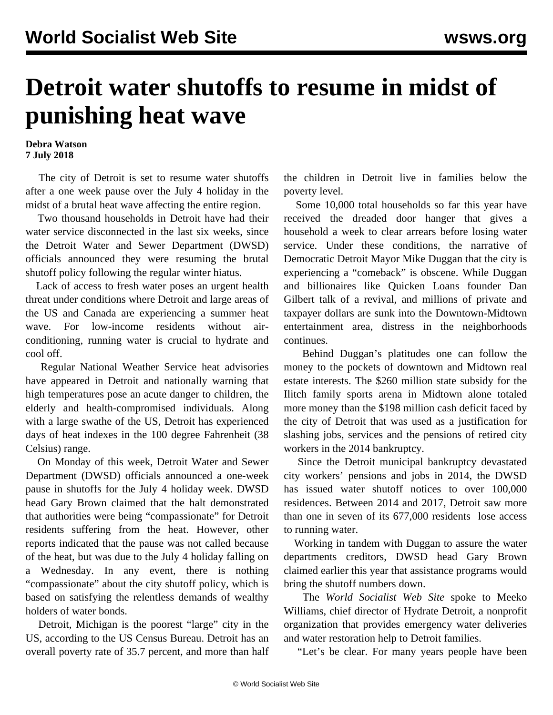## **Detroit water shutoffs to resume in midst of punishing heat wave**

## **Debra Watson 7 July 2018**

 The city of Detroit is set to resume water shutoffs after a one week pause over the July 4 holiday in the midst of a brutal heat wave affecting the entire region.

 Two thousand households in Detroit have had their water service disconnected in the last six weeks, since the Detroit Water and Sewer Department (DWSD) officials announced they were resuming the brutal shutoff policy following the regular winter hiatus.

 Lack of access to fresh water poses an urgent health threat under conditions where Detroit and large areas of the US and Canada are experiencing a summer heat wave. For low-income residents without airconditioning, running water is crucial to hydrate and cool off.

 Regular National Weather Service heat advisories have appeared in Detroit and nationally warning that high temperatures pose an acute danger to children, the elderly and health-compromised individuals. Along with a large swathe of the US, Detroit has experienced days of heat indexes in the 100 degree Fahrenheit (38 Celsius) range.

 On Monday of this week, Detroit Water and Sewer Department (DWSD) officials announced a one-week pause in shutoffs for the July 4 holiday week. DWSD head Gary Brown claimed that the halt demonstrated that authorities were being "compassionate" for Detroit residents suffering from the heat. However, other reports indicated that the pause was not called because of the heat, but was due to the July 4 holiday falling on a Wednesday. In any event, there is nothing "compassionate" about the city shutoff policy, which is based on satisfying the relentless demands of wealthy holders of water bonds.

 Detroit, Michigan is the poorest "large" city in the US, according to the US Census Bureau. Detroit has an overall poverty rate of 35.7 percent, and more than half the children in Detroit live in families below the poverty level.

 Some 10,000 total households so far this year have received the dreaded door hanger that gives a household a week to clear arrears before losing water service. Under these conditions, the narrative of Democratic Detroit Mayor Mike Duggan that the city is experiencing a "comeback" is obscene. While Duggan and billionaires like Quicken Loans founder Dan Gilbert talk of a revival, and millions of private and taxpayer dollars are sunk into the Downtown-Midtown entertainment area, distress in the neighborhoods continues.

 Behind Duggan's platitudes one can follow the money to the pockets of downtown and Midtown real estate interests. The \$260 million state subsidy for the Ilitch family sports arena in Midtown alone totaled more money than the \$198 million cash deficit faced by the city of Detroit that was used as a justification for slashing jobs, services and the pensions of retired city workers in the 2014 bankruptcy.

 Since the Detroit municipal bankruptcy devastated city workers' pensions and jobs in 2014, the DWSD has issued water shutoff notices to over 100,000 residences. Between 2014 and 2017, Detroit saw more than one in seven of its 677,000 residents [lose access](/en/articles/2017/05/29/wate-m29.html) [to running water.](/en/articles/2017/05/29/wate-m29.html)

 Working in tandem with Duggan to assure the water departments creditors, DWSD head Gary Brown claimed earlier this year that assistance programs would bring the shutoff numbers down.

 The *World Socialist Web Site* spoke to Meeko Williams, chief director of Hydrate Detroit, a nonprofit organization that provides emergency water deliveries and water restoration help to Detroit families.

"Let's be clear. For many years people have been